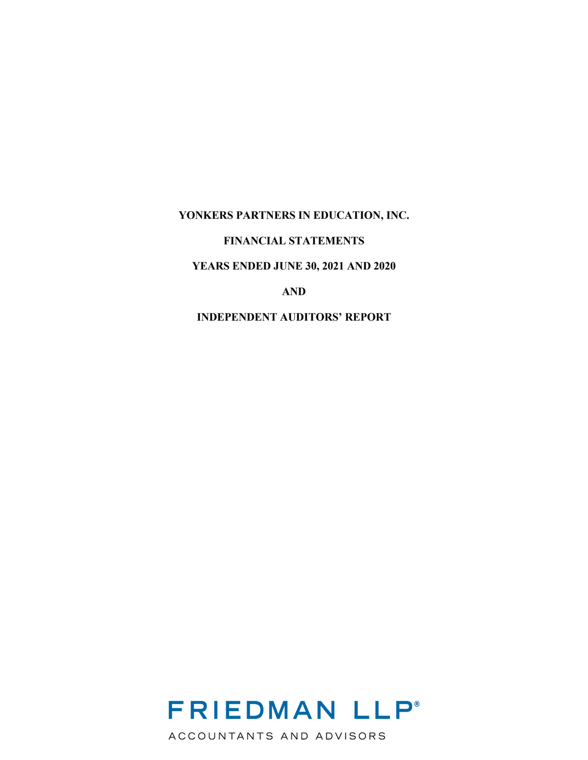### **FINANCIAL STATEMENTS**

# **YEARS ENDED JUNE 30, 2021 AND 2020**

**AND**

**INDEPENDENT AUDITORS' REPORT**



ACCOUNTANTS AND ADVISORS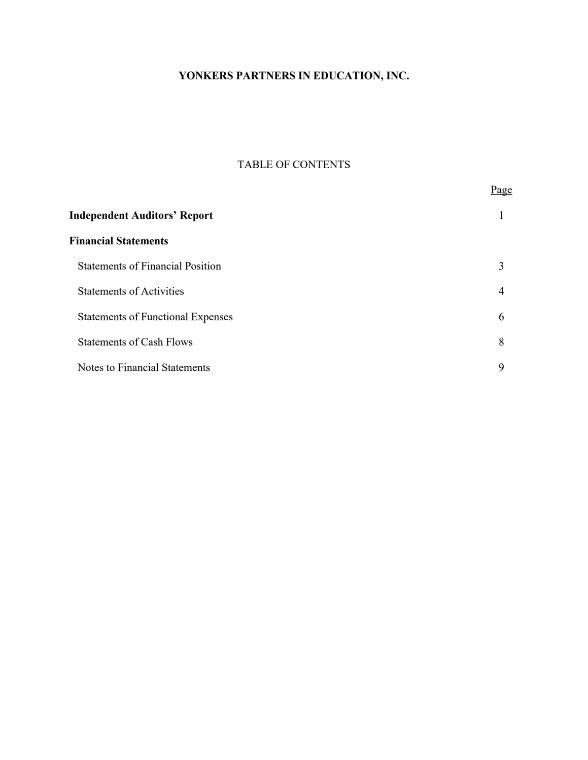# TABLE OF CONTENTS

# Page

| <b>Independent Auditors' Report</b>      |   |
|------------------------------------------|---|
| <b>Financial Statements</b>              |   |
| <b>Statements of Financial Position</b>  | 3 |
| <b>Statements of Activities</b>          | 4 |
| <b>Statements of Functional Expenses</b> | 6 |
| <b>Statements of Cash Flows</b>          | 8 |
| Notes to Financial Statements            | 9 |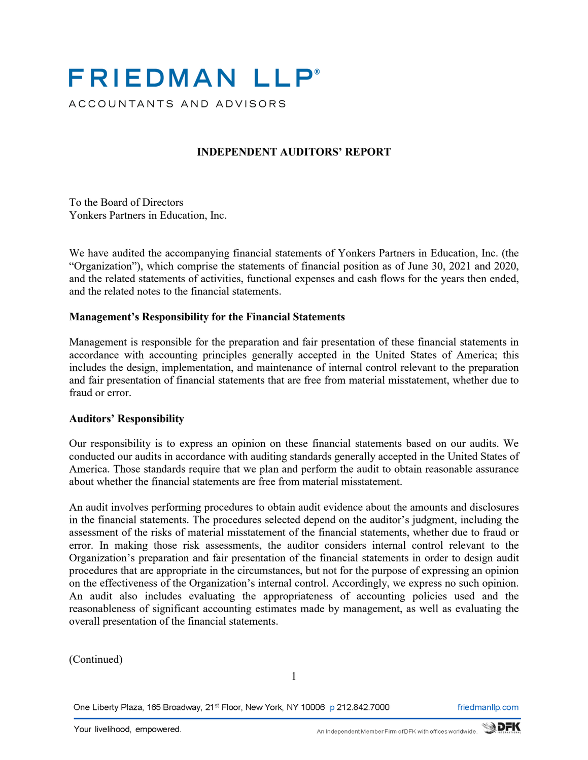# **FRIEDMAN LLP®** ACCOUNTANTS AND ADVISORS

### **INDEPENDENT AUDITORS' REPORT**

To the Board of Directors Yonkers Partners in Education, Inc.

We have audited the accompanying financial statements of Yonkers Partners in Education, Inc. (the "Organization"), which comprise the statements of financial position as of June 30, 2021 and 2020, and the related statements of activities, functional expenses and cash flows for the years then ended, and the related notes to the financial statements.

#### **Management's Responsibility for the Financial Statements**

Management is responsible for the preparation and fair presentation of these financial statements in accordance with accounting principles generally accepted in the United States of America; this includes the design, implementation, and maintenance of internal control relevant to the preparation and fair presentation of financial statements that are free from material misstatement, whether due to fraud or error.

#### **Auditors' Responsibility**

Our responsibility is to express an opinion on these financial statements based on our audits. We conducted our audits in accordance with auditing standards generally accepted in the United States of America. Those standards require that we plan and perform the audit to obtain reasonable assurance about whether the financial statements are free from material misstatement.

An audit involves performing procedures to obtain audit evidence about the amounts and disclosures in the financial statements. The procedures selected depend on the auditor's judgment, including the assessment of the risks of material misstatement of the financial statements, whether due to fraud or error. In making those risk assessments, the auditor considers internal control relevant to the Organization's preparation and fair presentation of the financial statements in order to design audit procedures that are appropriate in the circumstances, but not for the purpose of expressing an opinion on the effectiveness of the Organization's internal control. Accordingly, we express no such opinion. An audit also includes evaluating the appropriateness of accounting policies used and the reasonableness of significant accounting estimates made by management, as well as evaluating the overall presentation of the financial statements.

(Continued)

One Liberty Plaza, 165 Broadway, 21<sup>st</sup> Floor, New York, NY 10006 p 212.842.7000



friedmanllp.com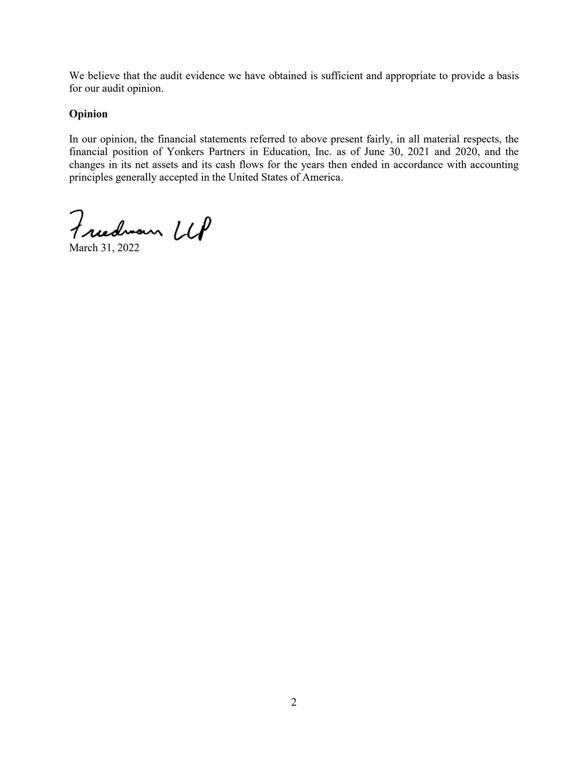We believe that the audit evidence we have obtained is sufficient and appropriate to provide a basis for our audit opinion.

# **Opinion**

In our opinion, the financial statements referred to above present fairly, in all material respects, the financial position of Yonkers Partners in Education, Inc. as of June 30, 2021 and 2020, and the changes in its net assets and its cash flows for the years then ended in accordance with accounting principles generally accepted in the United States of America.

Freedman LLP

March 31, 2022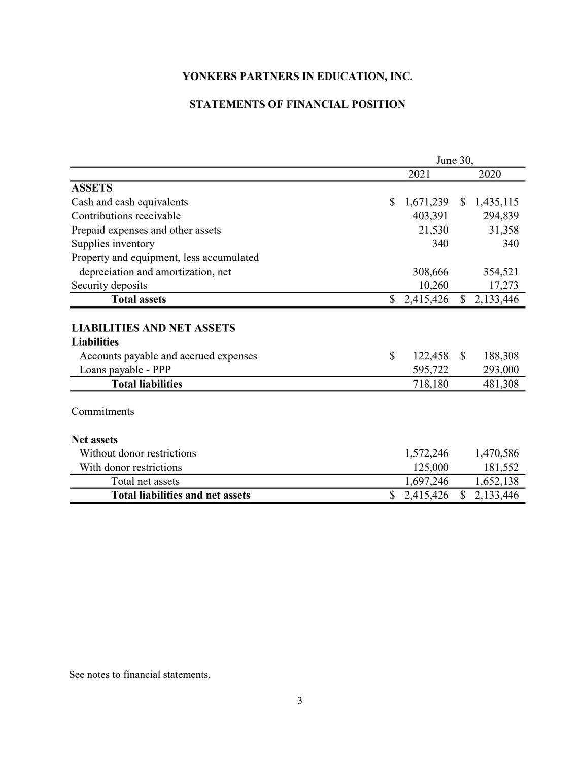# **STATEMENTS OF FINANCIAL POSITION**

|                                          | June 30, |           |              |             |
|------------------------------------------|----------|-----------|--------------|-------------|
|                                          |          | 2021      |              | 2020        |
| <b>ASSETS</b>                            |          |           |              |             |
| Cash and cash equivalents                | \$       | 1,671,239 | $\mathbb{S}$ | 1,435,115   |
| Contributions receivable                 |          | 403,391   |              | 294,839     |
| Prepaid expenses and other assets        |          | 21,530    |              | 31,358      |
| Supplies inventory                       |          | 340       |              | 340         |
| Property and equipment, less accumulated |          |           |              |             |
| depreciation and amortization, net       |          | 308,666   |              | 354,521     |
| Security deposits                        |          | 10,260    |              | 17,273      |
| <b>Total assets</b>                      | \$       | 2,415,426 |              | \$2,133,446 |
|                                          |          |           |              |             |
| <b>LIABILITIES AND NET ASSETS</b>        |          |           |              |             |
| <b>Liabilities</b>                       |          |           |              |             |
| Accounts payable and accrued expenses    | \$       | 122,458   | $\mathbb{S}$ | 188,308     |
| Loans payable - PPP                      |          | 595,722   |              | 293,000     |
| <b>Total liabilities</b>                 |          | 718,180   |              | 481,308     |
|                                          |          |           |              |             |
| Commitments                              |          |           |              |             |
| <b>Net assets</b>                        |          |           |              |             |
| Without donor restrictions               |          | 1,572,246 |              | 1,470,586   |
| With donor restrictions                  |          | 125,000   |              | 181,552     |
| Total net assets                         |          | 1,697,246 |              | 1,652,138   |
| <b>Total liabilities and net assets</b>  | \$       | 2,415,426 | \$           | 2,133,446   |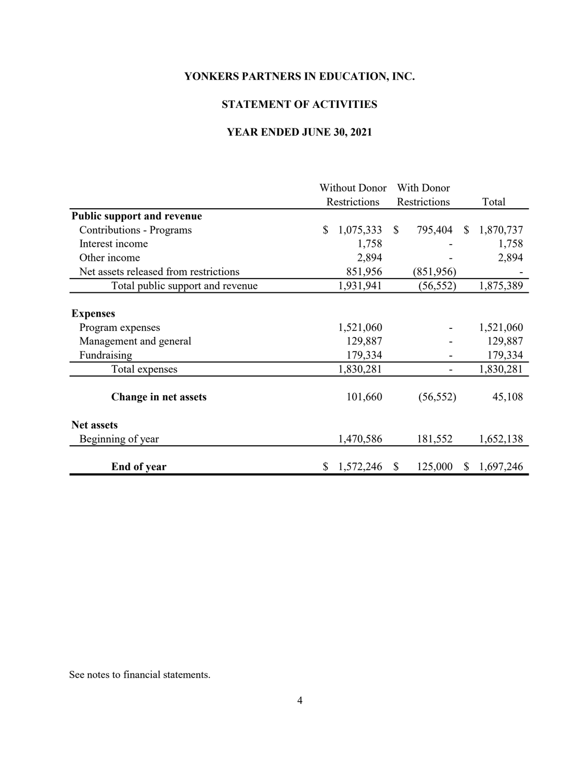# **STATEMENT OF ACTIVITIES**

# **YEAR ENDED JUNE 30, 2021**

|                                       | <b>Without Donor</b> |                           | With Donor   |                           |
|---------------------------------------|----------------------|---------------------------|--------------|---------------------------|
|                                       | Restrictions         |                           | Restrictions | Total                     |
| <b>Public support and revenue</b>     |                      |                           |              |                           |
| Contributions - Programs              | \$                   | 1,075,333<br><sup>S</sup> | 795,404      | 1,870,737<br><sup>S</sup> |
| Interest income                       |                      | 1,758                     |              | 1,758                     |
| Other income                          |                      | 2,894                     |              | 2,894                     |
| Net assets released from restrictions |                      | 851,956                   | (851, 956)   |                           |
| Total public support and revenue      |                      | 1,931,941                 | (56, 552)    | 1,875,389                 |
|                                       |                      |                           |              |                           |
| <b>Expenses</b>                       |                      |                           |              |                           |
| Program expenses                      |                      | 1,521,060                 |              | 1,521,060                 |
| Management and general                |                      | 129,887                   |              | 129,887                   |
| Fundraising                           |                      | 179,334                   |              | 179,334                   |
| Total expenses                        |                      | 1,830,281                 |              | 1,830,281                 |
| <b>Change in net assets</b>           |                      | 101,660                   | (56, 552)    | 45,108                    |
| <b>Net assets</b>                     |                      |                           |              |                           |
| Beginning of year                     |                      | 1,470,586                 | 181,552      | 1,652,138                 |
| End of year                           | \$                   | 1,572,246<br>\$           | 125,000      | 1,697,246<br>\$           |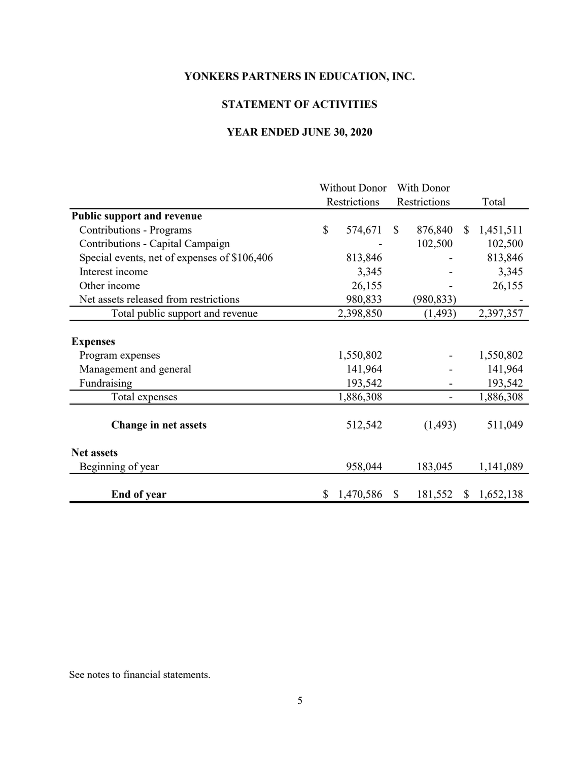# **STATEMENT OF ACTIVITIES**

# **YEAR ENDED JUNE 30, 2020**

|                                              | <b>Without Donor</b>    | With Donor   |                           |
|----------------------------------------------|-------------------------|--------------|---------------------------|
|                                              | Restrictions            | Restrictions | Total                     |
| <b>Public support and revenue</b>            |                         |              |                           |
| Contributions - Programs                     | $\mathbb{S}$<br>574,671 | 876,840<br>S | 1,451,511<br><sup>S</sup> |
| Contributions - Capital Campaign             |                         | 102,500      | 102,500                   |
| Special events, net of expenses of \$106,406 | 813,846                 |              | 813,846                   |
| Interest income                              | 3,345                   |              | 3,345                     |
| Other income                                 | 26,155                  |              | 26,155                    |
| Net assets released from restrictions        | 980,833                 | (980, 833)   |                           |
| Total public support and revenue             | 2,398,850               | (1, 493)     | 2,397,357                 |
| <b>Expenses</b>                              |                         |              |                           |
| Program expenses                             | 1,550,802               |              | 1,550,802                 |
| Management and general                       | 141,964                 |              | 141,964                   |
| Fundraising                                  | 193,542                 |              | 193,542                   |
| Total expenses                               | 1,886,308               |              | 1,886,308                 |
| <b>Change in net assets</b>                  | 512,542                 | (1, 493)     | 511,049                   |
| <b>Net assets</b>                            |                         |              |                           |
| Beginning of year                            | 958,044                 | 183,045      | 1,141,089                 |
| End of year                                  | 1,470,586<br>S          | 181,552<br>S | 1,652,138<br><sup>S</sup> |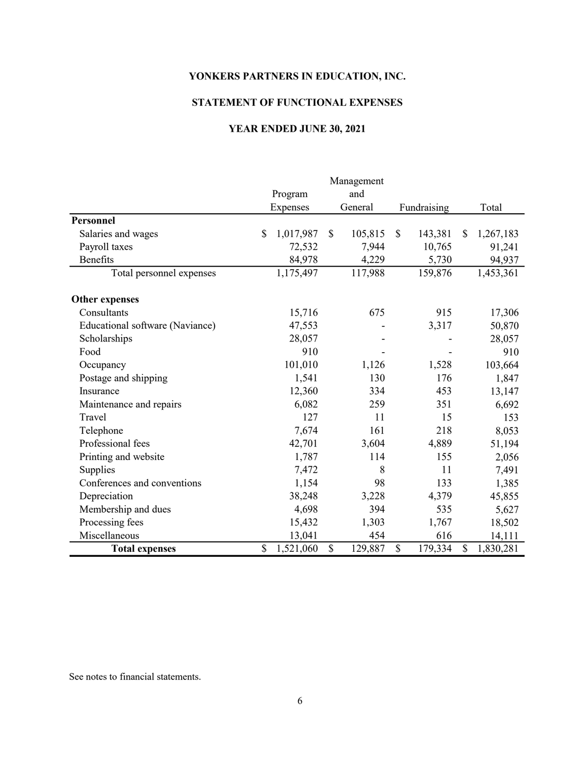# **STATEMENT OF FUNCTIONAL EXPENSES**

## **YEAR ENDED JUNE 30, 2021**

|                                 | Management     |           |              |         |               |             |              |           |
|---------------------------------|----------------|-----------|--------------|---------|---------------|-------------|--------------|-----------|
|                                 | and<br>Program |           |              |         |               |             |              |           |
|                                 |                | Expenses  |              | General |               | Fundraising |              | Total     |
| Personnel                       |                |           |              |         |               |             |              |           |
| Salaries and wages              | \$             | 1,017,987 | $\mathbb{S}$ | 105,815 | <sup>\$</sup> | 143,381     | $\mathbb{S}$ | 1,267,183 |
| Payroll taxes                   |                | 72,532    |              | 7,944   |               | 10,765      |              | 91,241    |
| <b>Benefits</b>                 |                | 84,978    |              | 4,229   |               | 5,730       |              | 94,937    |
| Total personnel expenses        |                | 1,175,497 |              | 117,988 |               | 159,876     |              | 1,453,361 |
| <b>Other expenses</b>           |                |           |              |         |               |             |              |           |
| Consultants                     |                | 15,716    |              | 675     |               | 915         |              | 17,306    |
| Educational software (Naviance) |                | 47,553    |              |         |               | 3,317       |              | 50,870    |
| Scholarships                    |                | 28,057    |              |         |               |             |              | 28,057    |
| Food                            |                | 910       |              |         |               |             |              | 910       |
| Occupancy                       |                | 101,010   |              | 1,126   |               | 1,528       |              | 103,664   |
| Postage and shipping            |                | 1,541     |              | 130     |               | 176         |              | 1,847     |
| Insurance                       |                | 12,360    |              | 334     |               | 453         |              | 13,147    |
| Maintenance and repairs         |                | 6,082     |              | 259     |               | 351         |              | 6,692     |
| Travel                          |                | 127       |              | 11      |               | 15          |              | 153       |
| Telephone                       |                | 7,674     |              | 161     |               | 218         |              | 8,053     |
| Professional fees               |                | 42,701    |              | 3,604   |               | 4,889       |              | 51,194    |
| Printing and website            |                | 1,787     |              | 114     |               | 155         |              | 2,056     |
| Supplies                        |                | 7,472     |              | 8       |               | 11          |              | 7,491     |
| Conferences and conventions     |                | 1,154     |              | 98      |               | 133         |              | 1,385     |
| Depreciation                    |                | 38,248    |              | 3,228   |               | 4,379       |              | 45,855    |
| Membership and dues             |                | 4,698     |              | 394     |               | 535         |              | 5,627     |
| Processing fees                 |                | 15,432    |              | 1,303   |               | 1,767       |              | 18,502    |
| Miscellaneous                   |                | 13,041    |              | 454     |               | 616         |              | 14,111    |
| <b>Total expenses</b>           | \$             | 1,521,060 | \$           | 129,887 | \$            | 179,334     | \$           | 1,830,281 |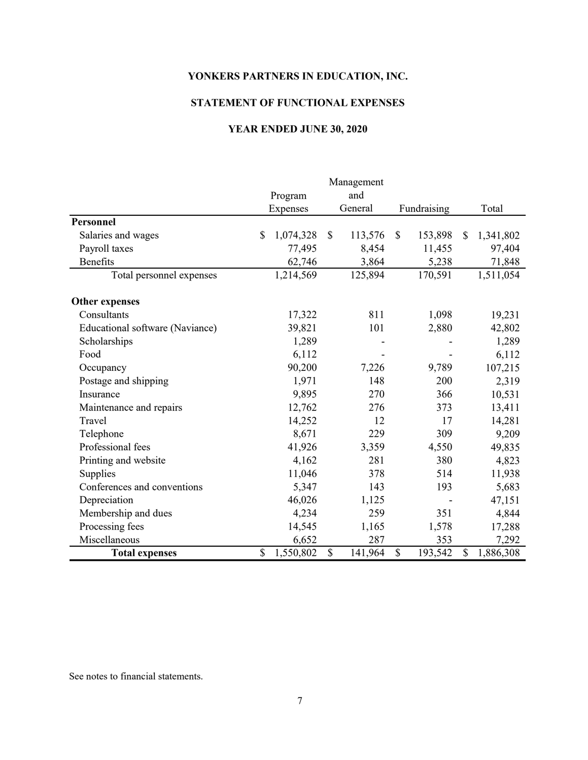# **STATEMENT OF FUNCTIONAL EXPENSES**

# **YEAR ENDED JUNE 30, 2020**

|                                 | Management     |           |    |         |               |             |              |           |
|---------------------------------|----------------|-----------|----|---------|---------------|-------------|--------------|-----------|
|                                 | and<br>Program |           |    |         |               |             |              |           |
|                                 |                | Expenses  |    | General |               | Fundraising |              | Total     |
| <b>Personnel</b>                |                |           |    |         |               |             |              |           |
| Salaries and wages              | \$             | 1,074,328 | \$ | 113,576 | <sup>\$</sup> | 153,898     | $\mathbb{S}$ | 1,341,802 |
| Payroll taxes                   |                | 77,495    |    | 8,454   |               | 11,455      |              | 97,404    |
| Benefits                        |                | 62,746    |    | 3,864   |               | 5,238       |              | 71,848    |
| Total personnel expenses        |                | 1,214,569 |    | 125,894 |               | 170,591     |              | 1,511,054 |
| Other expenses                  |                |           |    |         |               |             |              |           |
| Consultants                     |                | 17,322    |    | 811     |               | 1,098       |              | 19,231    |
| Educational software (Naviance) |                | 39,821    |    | 101     |               | 2,880       |              | 42,802    |
| Scholarships                    |                | 1,289     |    |         |               |             |              | 1,289     |
| Food                            |                | 6,112     |    |         |               |             |              | 6,112     |
| Occupancy                       |                | 90,200    |    | 7,226   |               | 9,789       |              | 107,215   |
| Postage and shipping            |                | 1,971     |    | 148     |               | 200         |              | 2,319     |
| Insurance                       |                | 9,895     |    | 270     |               | 366         |              | 10,531    |
| Maintenance and repairs         |                | 12,762    |    | 276     |               | 373         |              | 13,411    |
| Travel                          |                | 14,252    |    | 12      |               | 17          |              | 14,281    |
| Telephone                       |                | 8,671     |    | 229     |               | 309         |              | 9,209     |
| Professional fees               |                | 41,926    |    | 3,359   |               | 4,550       |              | 49,835    |
| Printing and website            |                | 4,162     |    | 281     |               | 380         |              | 4,823     |
| Supplies                        |                | 11,046    |    | 378     |               | 514         |              | 11,938    |
| Conferences and conventions     |                | 5,347     |    | 143     |               | 193         |              | 5,683     |
| Depreciation                    |                | 46,026    |    | 1,125   |               |             |              | 47,151    |
| Membership and dues             |                | 4,234     |    | 259     |               | 351         |              | 4,844     |
| Processing fees                 |                | 14,545    |    | 1,165   |               | 1,578       |              | 17,288    |
| Miscellaneous                   |                | 6,652     |    | 287     |               | 353         |              | 7,292     |
| <b>Total expenses</b>           | \$             | 1,550,802 | \$ | 141,964 | \$            | 193,542     | \$           | 1,886,308 |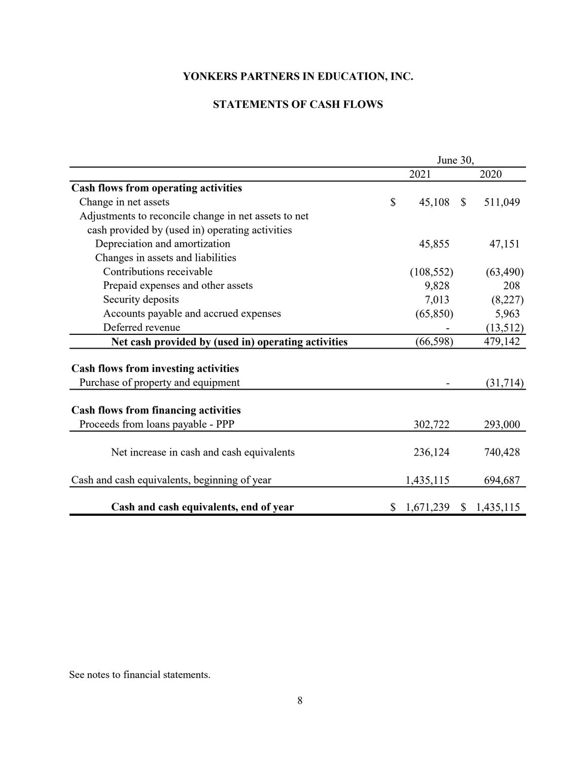# **STATEMENTS OF CASH FLOWS**

|                                                      | June 30,     |            |              |           |
|------------------------------------------------------|--------------|------------|--------------|-----------|
|                                                      |              | 2021       |              | 2020      |
| <b>Cash flows from operating activities</b>          |              |            |              |           |
| Change in net assets                                 | $\mathbb{S}$ | 45,108     | $\mathbb{S}$ | 511,049   |
| Adjustments to reconcile change in net assets to net |              |            |              |           |
| cash provided by (used in) operating activities      |              |            |              |           |
| Depreciation and amortization                        |              | 45,855     |              | 47,151    |
| Changes in assets and liabilities                    |              |            |              |           |
| Contributions receivable                             |              | (108, 552) |              | (63, 490) |
| Prepaid expenses and other assets                    |              | 9,828      |              | 208       |
| Security deposits                                    |              | 7,013      |              | (8,227)   |
| Accounts payable and accrued expenses                |              | (65, 850)  |              | 5,963     |
| Deferred revenue                                     |              |            |              | (13,512)  |
| Net cash provided by (used in) operating activities  |              | (66, 598)  |              | 479,142   |
|                                                      |              |            |              |           |
| <b>Cash flows from investing activities</b>          |              |            |              |           |
| Purchase of property and equipment                   |              |            |              | (31,714)  |
|                                                      |              |            |              |           |
| <b>Cash flows from financing activities</b>          |              |            |              |           |
| Proceeds from loans payable - PPP                    |              | 302,722    |              | 293,000   |
|                                                      |              |            |              |           |
| Net increase in cash and cash equivalents            |              | 236,124    |              | 740,428   |
| Cash and cash equivalents, beginning of year         |              | 1,435,115  |              | 694,687   |
| Cash and cash equivalents, end of year               | \$           | 1,671,239  | $\mathbb{S}$ | 1,435,115 |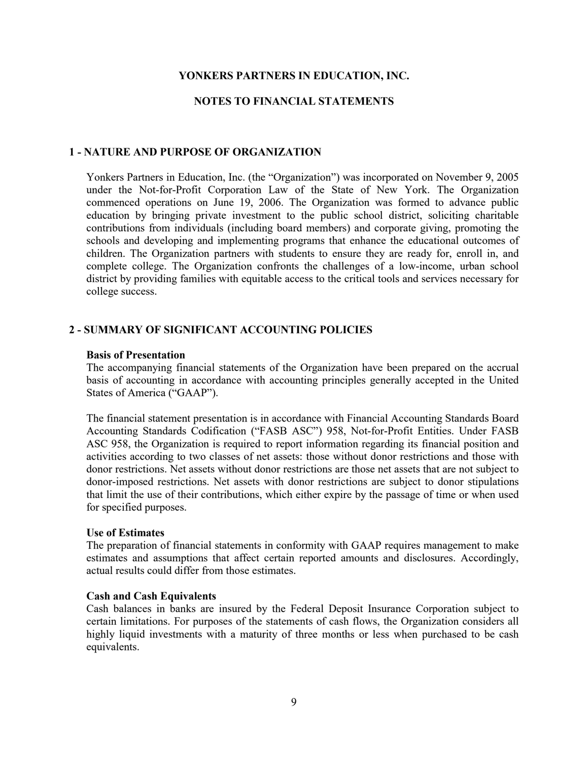### **NOTES TO FINANCIAL STATEMENTS**

#### **1 - NATURE AND PURPOSE OF ORGANIZATION**

Yonkers Partners in Education, Inc. (the "Organization") was incorporated on November 9, 2005 under the Not-for-Profit Corporation Law of the State of New York. The Organization commenced operations on June 19, 2006. The Organization was formed to advance public education by bringing private investment to the public school district, soliciting charitable contributions from individuals (including board members) and corporate giving, promoting the schools and developing and implementing programs that enhance the educational outcomes of children. The Organization partners with students to ensure they are ready for, enroll in, and complete college. The Organization confronts the challenges of a low-income, urban school district by providing families with equitable access to the critical tools and services necessary for college success.

#### **2 - SUMMARY OF SIGNIFICANT ACCOUNTING POLICIES**

#### **Basis of Presentation**

The accompanying financial statements of the Organization have been prepared on the accrual basis of accounting in accordance with accounting principles generally accepted in the United States of America ("GAAP").

The financial statement presentation is in accordance with Financial Accounting Standards Board Accounting Standards Codification ("FASB ASC") 958, Not-for-Profit Entities. Under FASB ASC 958, the Organization is required to report information regarding its financial position and activities according to two classes of net assets: those without donor restrictions and those with donor restrictions. Net assets without donor restrictions are those net assets that are not subject to donor-imposed restrictions. Net assets with donor restrictions are subject to donor stipulations that limit the use of their contributions, which either expire by the passage of time or when used for specified purposes.

#### **Use of Estimates**

The preparation of financial statements in conformity with GAAP requires management to make estimates and assumptions that affect certain reported amounts and disclosures. Accordingly, actual results could differ from those estimates.

#### **Cash and Cash Equivalents**

Cash balances in banks are insured by the Federal Deposit Insurance Corporation subject to certain limitations. For purposes of the statements of cash flows, the Organization considers all highly liquid investments with a maturity of three months or less when purchased to be cash equivalents.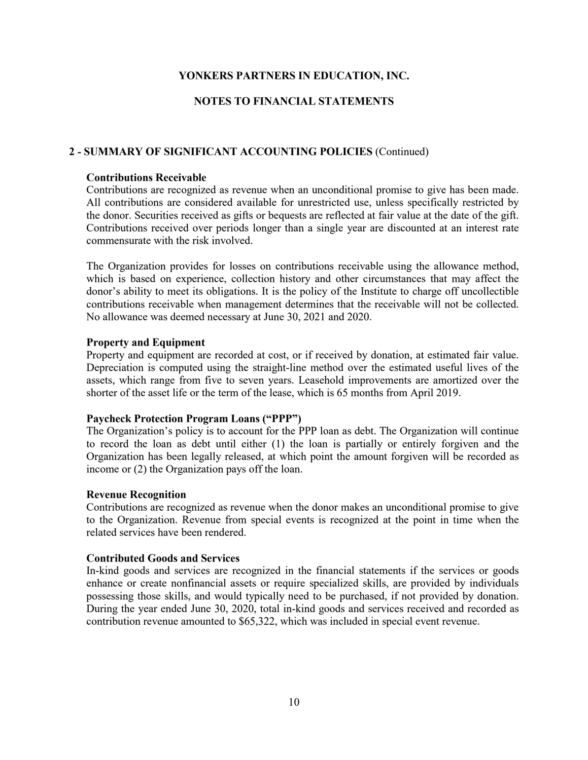### **NOTES TO FINANCIAL STATEMENTS**

#### **2 - SUMMARY OF SIGNIFICANT ACCOUNTING POLICIES** (Continued)

#### **Contributions Receivable**

Contributions are recognized as revenue when an unconditional promise to give has been made. All contributions are considered available for unrestricted use, unless specifically restricted by the donor. Securities received as gifts or bequests are reflected at fair value at the date of the gift. Contributions received over periods longer than a single year are discounted at an interest rate commensurate with the risk involved.

The Organization provides for losses on contributions receivable using the allowance method, which is based on experience, collection history and other circumstances that may affect the donor's ability to meet its obligations. It is the policy of the Institute to charge off uncollectible contributions receivable when management determines that the receivable will not be collected. No allowance was deemed necessary at June 30, 2021 and 2020.

#### **Property and Equipment**

Property and equipment are recorded at cost, or if received by donation, at estimated fair value. Depreciation is computed using the straight-line method over the estimated useful lives of the assets, which range from five to seven years. Leasehold improvements are amortized over the shorter of the asset life or the term of the lease, which is 65 months from April 2019.

#### **Paycheck Protection Program Loans ("PPP")**

The Organization's policy is to account for the PPP loan as debt. The Organization will continue to record the loan as debt until either (1) the loan is partially or entirely forgiven and the Organization has been legally released, at which point the amount forgiven will be recorded as income or (2) the Organization pays off the loan.

#### **Revenue Recognition**

Contributions are recognized as revenue when the donor makes an unconditional promise to give to the Organization. Revenue from special events is recognized at the point in time when the related services have been rendered.

#### **Contributed Goods and Services**

In-kind goods and services are recognized in the financial statements if the services or goods enhance or create nonfinancial assets or require specialized skills, are provided by individuals possessing those skills, and would typically need to be purchased, if not provided by donation. During the year ended June 30, 2020, total in-kind goods and services received and recorded as contribution revenue amounted to \$65,322, which was included in special event revenue.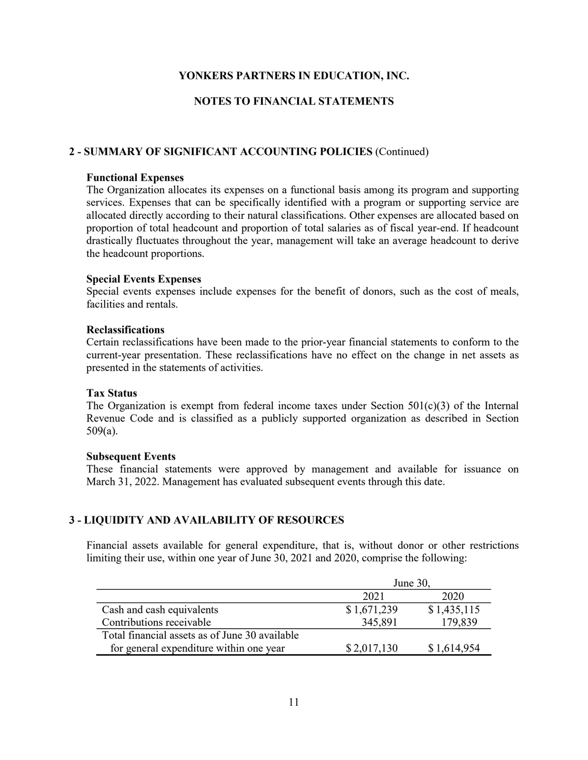### **NOTES TO FINANCIAL STATEMENTS**

### **2 - SUMMARY OF SIGNIFICANT ACCOUNTING POLICIES** (Continued)

#### **Functional Expenses**

The Organization allocates its expenses on a functional basis among its program and supporting services. Expenses that can be specifically identified with a program or supporting service are allocated directly according to their natural classifications. Other expenses are allocated based on proportion of total headcount and proportion of total salaries as of fiscal year-end. If headcount drastically fluctuates throughout the year, management will take an average headcount to derive the headcount proportions.

#### **Special Events Expenses**

Special events expenses include expenses for the benefit of donors, such as the cost of meals, facilities and rentals.

#### **Reclassifications**

Certain reclassifications have been made to the prior-year financial statements to conform to the current-year presentation. These reclassifications have no effect on the change in net assets as presented in the statements of activities.

#### **Tax Status**

The Organization is exempt from federal income taxes under Section  $501(c)(3)$  of the Internal Revenue Code and is classified as a publicly supported organization as described in Section 509(a).

#### **Subsequent Events**

These financial statements were approved by management and available for issuance on March 31, 2022. Management has evaluated subsequent events through this date.

### **3 - LIQUIDITY AND AVAILABILITY OF RESOURCES**

Financial assets available for general expenditure, that is, without donor or other restrictions limiting their use, within one year of June 30, 2021 and 2020, comprise the following:

|                                                | June $30$ , |             |  |  |
|------------------------------------------------|-------------|-------------|--|--|
|                                                | 2021        | 2020        |  |  |
| Cash and cash equivalents                      | \$1,671,239 | \$1,435,115 |  |  |
| Contributions receivable                       | 345,891     | 179,839     |  |  |
| Total financial assets as of June 30 available |             |             |  |  |
| for general expenditure within one year        | \$2,017,130 | \$1,614,954 |  |  |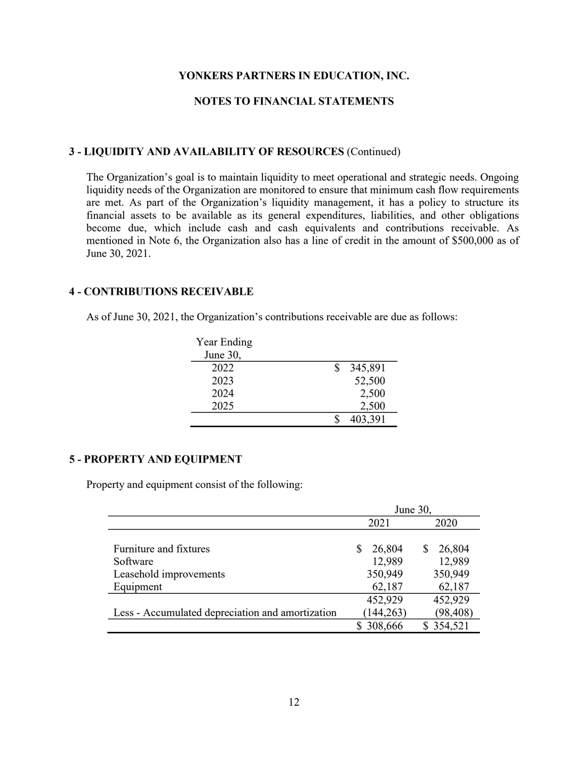### **NOTES TO FINANCIAL STATEMENTS**

#### **3 - LIQUIDITY AND AVAILABILITY OF RESOURCES** (Continued)

The Organization's goal is to maintain liquidity to meet operational and strategic needs. Ongoing liquidity needs of the Organization are monitored to ensure that minimum cash flow requirements are met. As part of the Organization's liquidity management, it has a policy to structure its financial assets to be available as its general expenditures, liabilities, and other obligations become due, which include cash and cash equivalents and contributions receivable. As mentioned in Note 6, the Organization also has a line of credit in the amount of \$500,000 as of June 30, 2021.

#### **4 - CONTRIBUTIONS RECEIVABLE**

As of June 30, 2021, the Organization's contributions receivable are due as follows:

| Year Ending |         |
|-------------|---------|
| June 30,    |         |
| 2022        | 345,891 |
| 2023        | 52,500  |
| 2024        | 2,500   |
| 2025        | 2,500   |
|             | 403,391 |

### **5 - PROPERTY AND EQUIPMENT**

Property and equipment consist of the following:

|                                                  | June 30,    |             |  |  |  |
|--------------------------------------------------|-------------|-------------|--|--|--|
|                                                  | 2021        | 2020        |  |  |  |
|                                                  |             |             |  |  |  |
| Furniture and fixtures                           | 26,804<br>S | 26,804<br>S |  |  |  |
| Software                                         | 12,989      | 12,989      |  |  |  |
| Leasehold improvements                           | 350,949     | 350,949     |  |  |  |
| Equipment                                        | 62,187      | 62,187      |  |  |  |
|                                                  | 452,929     | 452,929     |  |  |  |
| Less - Accumulated depreciation and amortization | (144, 263)  | (98, 408)   |  |  |  |
|                                                  | 308,666     | \$354,521   |  |  |  |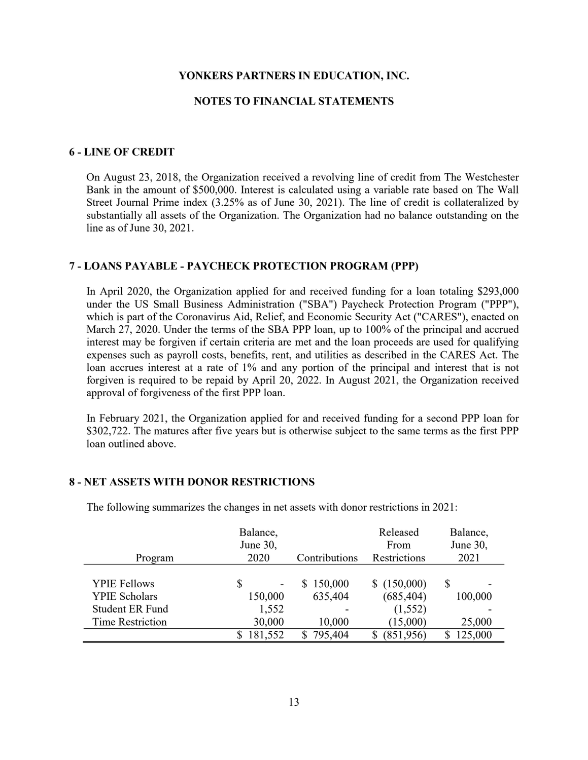### **NOTES TO FINANCIAL STATEMENTS**

#### **6 - LINE OF CREDIT**

On August 23, 2018, the Organization received a revolving line of credit from The Westchester Bank in the amount of \$500,000. Interest is calculated using a variable rate based on The Wall Street Journal Prime index (3.25% as of June 30, 2021). The line of credit is collateralized by substantially all assets of the Organization. The Organization had no balance outstanding on the line as of June 30, 2021.

#### **7 - LOANS PAYABLE - PAYCHECK PROTECTION PROGRAM (PPP)**

In April 2020, the Organization applied for and received funding for a loan totaling \$293,000 under the US Small Business Administration ("SBA") Paycheck Protection Program ("PPP"), which is part of the Coronavirus Aid, Relief, and Economic Security Act ("CARES"), enacted on March 27, 2020. Under the terms of the SBA PPP loan, up to 100% of the principal and accrued interest may be forgiven if certain criteria are met and the loan proceeds are used for qualifying expenses such as payroll costs, benefits, rent, and utilities as described in the CARES Act. The loan accrues interest at a rate of 1% and any portion of the principal and interest that is not forgiven is required to be repaid by April 20, 2022. In August 2021, the Organization received approval of forgiveness of the first PPP loan.

In February 2021, the Organization applied for and received funding for a second PPP loan for \$302,722. The matures after five years but is otherwise subject to the same terms as the first PPP loan outlined above.

#### **8 - NET ASSETS WITH DONOR RESTRICTIONS**

The following summarizes the changes in net assets with donor restrictions in 2021:

|                         | Balance,<br>June 30,          |               | Released<br>From | Balance,<br>June 30, |
|-------------------------|-------------------------------|---------------|------------------|----------------------|
| Program                 | 2020                          | Contributions | Restrictions     | 2021                 |
|                         |                               |               |                  |                      |
| <b>YPIE Fellows</b>     | S<br>$\overline{\phantom{a}}$ | \$150,000     | \$(150,000)      | S                    |
| <b>YPIE Scholars</b>    | 150,000                       | 635,404       | (685, 404)       | 100,000              |
| <b>Student ER Fund</b>  | 1,552                         |               | (1, 552)         |                      |
| <b>Time Restriction</b> | 30,000                        | 10,000        | (15,000)         | 25,000               |
|                         | 181,552                       | 795,404       | (851, 956)       | 125,000<br>S         |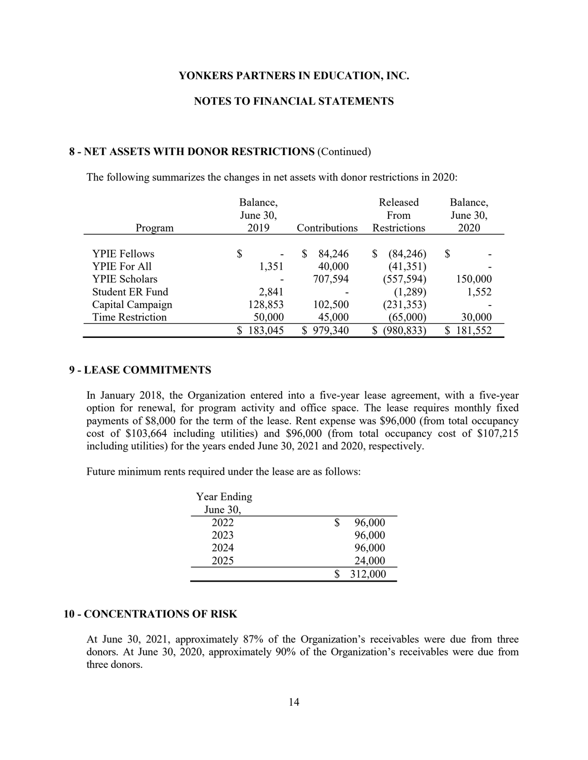### **NOTES TO FINANCIAL STATEMENTS**

#### **8 - NET ASSETS WITH DONOR RESTRICTIONS** (Continued)

The following summarizes the changes in net assets with donor restrictions in 2020:

| Program                 | Balance,<br>June 30,<br>2019   | Contributions | Released<br>From<br>Restrictions | Balance,<br>June 30,<br>2020 |
|-------------------------|--------------------------------|---------------|----------------------------------|------------------------------|
|                         |                                |               |                                  |                              |
| <b>YPIE Fellows</b>     | \$<br>$\overline{\phantom{a}}$ | 84,246<br>S   | (84,246)<br>S                    | \$                           |
| <b>YPIE For All</b>     | 1,351                          | 40,000        | (41, 351)                        |                              |
| <b>YPIE Scholars</b>    |                                | 707,594       | (557, 594)                       | 150,000                      |
| <b>Student ER Fund</b>  | 2,841                          |               | (1,289)                          | 1,552                        |
| Capital Campaign        | 128,853                        | 102,500       | (231, 353)                       |                              |
| <b>Time Restriction</b> | 50,000                         | 45,000        | (65,000)                         | 30,000                       |
|                         | 183,045                        | 979,340<br>S  | (980, 833)                       | 181,552<br>S                 |

### **9 - LEASE COMMITMENTS**

In January 2018, the Organization entered into a five-year lease agreement, with a five-year option for renewal, for program activity and office space. The lease requires monthly fixed payments of \$8,000 for the term of the lease. Rent expense was \$96,000 (from total occupancy cost of \$103,664 including utilities) and \$96,000 (from total occupancy cost of \$107,215 including utilities) for the years ended June 30, 2021 and 2020, respectively.

Future minimum rents required under the lease are as follows:

| Year Ending |         |
|-------------|---------|
| June 30,    |         |
| 2022        | 96,000  |
| 2023        | 96,000  |
| 2024        | 96,000  |
| 2025        | 24,000  |
|             | 312,000 |

### **10 - CONCENTRATIONS OF RISK**

At June 30, 2021, approximately 87% of the Organization's receivables were due from three donors. At June 30, 2020, approximately 90% of the Organization's receivables were due from three donors.